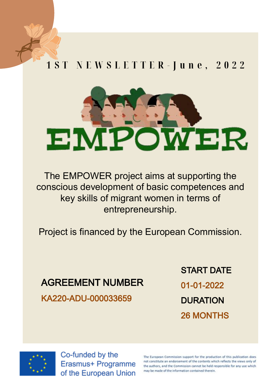### 1 S T N E W S L E T T E R - J u n e , 2 0 2 2



The EMPOWER project aims at supporting the conscious development of basic competences and key skills of migrant women in terms of entrepreneurship.

Project is financed by the European Commission.

#### AGREEMENT NUMBER

KA220-ADU-000033659

START DATE 01-01-2022 **DURATION** 26 MONTHS



Co-funded by the Erasmus+ Programme of the European Union

The European Commission support for the production of this publication does not constitute an endorsement of the contents which reflects the views only of the authors, and the Commission cannot be held responsible for any use which may be made of the information contained therein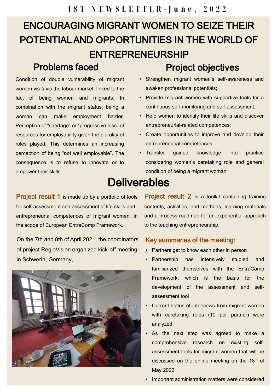## ENCOURAGING MIGRANT WOMEN TO SEIZE THEIR POTENTIAL AND OPPORTUNITIES IN THE WORLD OF ENTREPRENEURSHIP

#### Problems faced

Condition of double vulnerability of migrant women vis-à-vis the labour market, linked to the fact of being women and migrants. In combination with the migrant status, being a woman can make employment harder. Perception of "shortage" or "progressive loss" of resources for employability given the plurality of roles played. This determines an increasing perception of being "not well employable". The consequence is to refuse to innovate or to empower their skills.

- Project objectives
- Strengthen migrant women's self-awareness and awaken professional potentials;
- Provide migrant women with supportive tools for a continuous self-monitoring and self-assessment;
- Help women to identify their life skills and discover entrepreneurial-related competences;
- Create opportunities to improve and develop their entrepreneurial competences;
- Transfer gained knowledge into practice considering women's caretaking role and general condition of being a migrant woman

## **Deliverables**

Project result 1 is made up by a portfolio of tools for self-assessment and assessment of life skills and entrepreneurial competences of migrant women, in the scope of European EntreComp Framework.

On the 7th and 8th of April 2021, the coordinators of project RegioVision organized kick-off meeting in Schwerin, Germany.



Project result 2 is a toolkit containing training contents, activities, and methods, learning materials and a process roadmap for an experiential approach to the teaching entrepreneurship.

#### Key summaries of the meeting:

- Partners get to know each other in person
- Partnership has intensively studied and familiarized themselves with the EntreComp Framework, which is the basis for the development of the assessment and selfassessment tool
- Current status of interviews from migrant women with caretaking roles (10 per partner) were analyzed
- As the next step was agreed to make a comprehensive research on existing selfassessment tools for migrant women that will be discussed on the online meeting on the  $18<sup>th</sup>$  of May 2022
- Important administration matters were considered